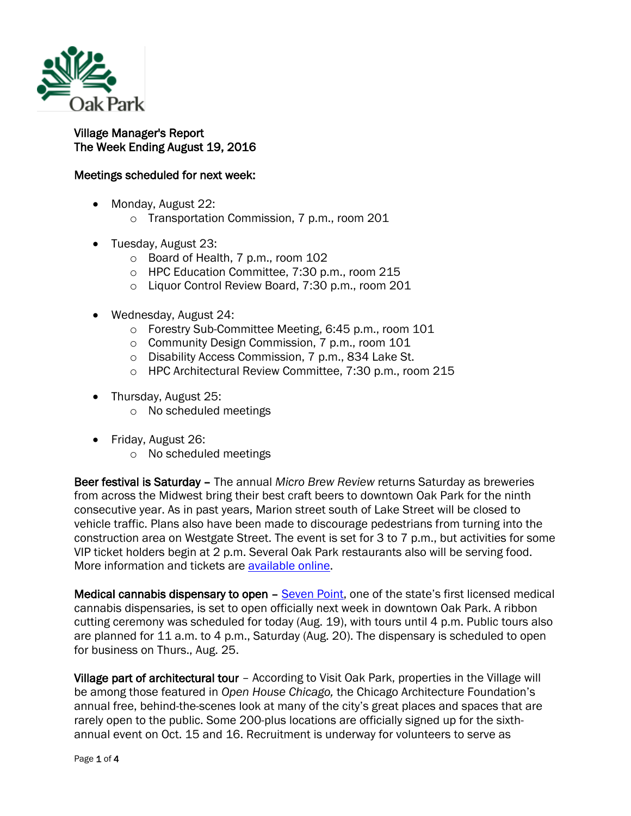

## Village Manager's Report The Week Ending August 19, 2016

## Meetings scheduled for next week:

- Monday, August 22:
	- o Transportation Commission, 7 p.m., room 201
- Tuesday, August 23:
	- o Board of Health, 7 p.m., room 102
	- o HPC Education Committee, 7:30 p.m., room 215
	- o Liquor Control Review Board, 7:30 p.m., room 201
- Wednesday, August 24:
	- o Forestry Sub-Committee Meeting, 6:45 p.m., room 101
	- o Community Design Commission, 7 p.m., room 101
	- o Disability Access Commission, 7 p.m., 834 Lake St.
	- o HPC Architectural Review Committee, 7:30 p.m., room 215
- Thursday, August 25:
	- o No scheduled meetings
- Friday, August 26:
	- o No scheduled meetings

Beer festival is Saturday – The annual *Micro Brew Review* returns Saturday as breweries from across the Midwest bring their best craft beers to downtown Oak Park for the ninth consecutive year. As in past years, Marion street south of Lake Street will be closed to vehicle traffic. Plans also have been made to discourage pedestrians from turning into the construction area on Westgate Street. The event is set for 3 to 7 p.m., but activities for some VIP ticket holders begin at 2 p.m. Several Oak Park restaurants also will be serving food. More information and tickets are [available online.](https://sevengenerationsahead.org/oak-park-microbrew-and-food-review/food-vendors)

Medical cannabis dispensary to open – [Seven Point,](http://sevenpoint.org/) one of the state's first licensed medical cannabis dispensaries, is set to open officially next week in downtown Oak Park. A ribbon cutting ceremony was scheduled for today (Aug. 19), with tours until 4 p.m. Public tours also are planned for 11 a.m. to 4 p.m., Saturday (Aug. 20). The dispensary is scheduled to open for business on Thurs., Aug. 25.

Village part of architectural tour – According to Visit Oak Park, properties in the Village will be among those featured in *Open House Chicago,* the Chicago Architecture Foundation's annual free, behind-the-scenes look at many of the city's great places and spaces that are rarely open to the public. Some 200-plus locations are officially signed up for the sixthannual event on Oct. 15 and 16. Recruitment is underway for volunteers to serve as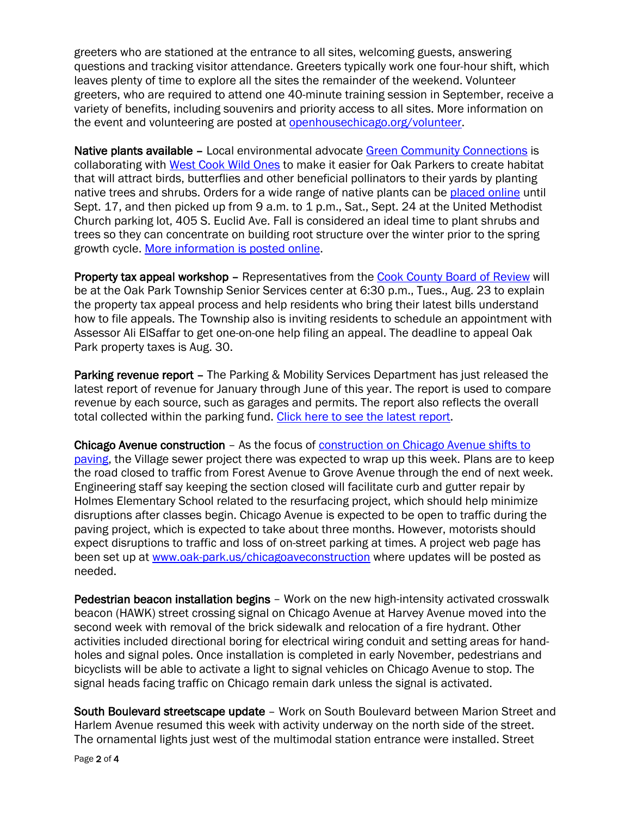greeters who are stationed at the entrance to all sites, welcoming guests, answering questions and tracking visitor attendance. Greeters typically work one four-hour shift, which leaves plenty of time to explore all the sites the remainder of the weekend. Volunteer greeters, who are required to attend one 40-minute training session in September, receive a variety of benefits, including souvenirs and priority access to all sites. More information on the event and volunteering are posted at [openhousechicago.org/volunteer.](http://openhousechicago.org/volunteer)

Native plants available – Local environmental advocate [Green Community Connections](http://www.greencommunityconnections.org/) is collaborating with [West Cook Wild Ones](http://westcook.wildones.org/) to make it easier for Oak Parkers to create habitat that will attract birds, butterflies and other beneficial pollinators to their yards by planting native trees and shrubs. Orders for a wide range of native plants can be [placed online](https://wild-ones-west-cook.myshopify.com/) until Sept. 17, and then picked up from 9 a.m. to 1 p.m., Sat., Sept. 24 at the United Methodist Church parking lot, 405 S. Euclid Ave. Fall is considered an ideal time to plant shrubs and trees so they can concentrate on building root structure over the winter prior to the spring growth cycle. [More information is posted online.](http://www.greencommunityconnections.org/native-shrub-tree-sale/)

Property tax appeal workshop – Representatives from the [Cook County Board of Review](http://www.cookcountyboardofreview.com/) will be at the Oak Park Township Senior Services center at 6:30 p.m., Tues., Aug. 23 to explain the property tax appeal process and help residents who bring their latest bills understand how to file appeals. The Township also is inviting residents to schedule an appointment with Assessor Ali ElSaffar to get one-on-one help filing an appeal. The deadline to appeal Oak Park property taxes is Aug. 30.

Parking revenue report – The Parking & Mobility Services Department has just released the latest report of revenue for January through June of this year. The report is used to compare revenue by each source, such as garages and permits. The report also reflects the overall total collected within the parking fund. [Click here to see the latest report.](http://www.oak-park.us/sites/default/files/456678891/parking_revenue_summary_-_january_to_june_2016.pdf)

Chicago Avenue construction – As the focus of construction on Chicago [Avenue shifts to](http://www.oak-park.us/news/chicago-avenue-resurfacing-set-begin)  [paving,](http://www.oak-park.us/news/chicago-avenue-resurfacing-set-begin) the Village sewer project there was expected to wrap up this week. Plans are to keep the road closed to traffic from Forest Avenue to Grove Avenue through the end of next week. Engineering staff say keeping the section closed will facilitate curb and gutter repair by Holmes Elementary School related to the resurfacing project, which should help minimize disruptions after classes begin. Chicago Avenue is expected to be open to traffic during the paving project, which is expected to take about three months. However, motorists should expect disruptions to traffic and loss of on-street parking at times. A project web page has been set up at [www.oak-park.us/chicagoaveconstruction](http://www.oak-park.us/chicagoaveconstruction) where updates will be posted as needed.

Pedestrian beacon installation begins – Work on the new high-intensity activated crosswalk beacon (HAWK) street crossing signal on Chicago Avenue at Harvey Avenue moved into the second week with removal of the brick sidewalk and relocation of a fire hydrant. Other activities included directional boring for electrical wiring conduit and setting areas for handholes and signal poles. Once installation is completed in early November, pedestrians and bicyclists will be able to activate a light to signal vehicles on Chicago Avenue to stop. The signal heads facing traffic on Chicago remain dark unless the signal is activated.

South Boulevard streetscape update – Work on South Boulevard between Marion Street and Harlem Avenue resumed this week with activity underway on the north side of the street. The ornamental lights just west of the multimodal station entrance were installed. Street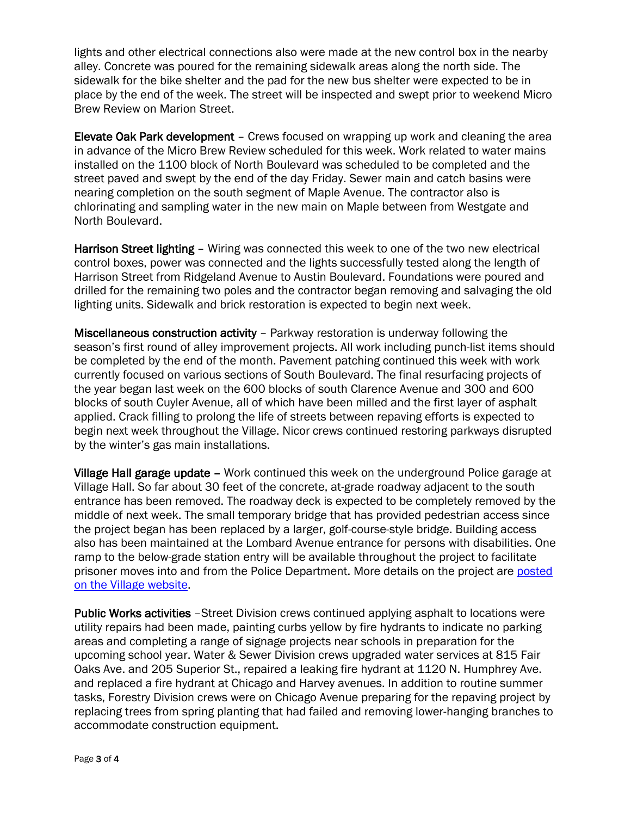lights and other electrical connections also were made at the new control box in the nearby alley. Concrete was poured for the remaining sidewalk areas along the north side. The sidewalk for the bike shelter and the pad for the new bus shelter were expected to be in place by the end of the week. The street will be inspected and swept prior to weekend Micro Brew Review on Marion Street.

Elevate Oak Park development – Crews focused on wrapping up work and cleaning the area in advance of the Micro Brew Review scheduled for this week. Work related to water mains installed on the 1100 block of North Boulevard was scheduled to be completed and the street paved and swept by the end of the day Friday. Sewer main and catch basins were nearing completion on the south segment of Maple Avenue. The contractor also is chlorinating and sampling water in the new main on Maple between from Westgate and North Boulevard.

Harrison Street lighting - Wiring was connected this week to one of the two new electrical control boxes, power was connected and the lights successfully tested along the length of Harrison Street from Ridgeland Avenue to Austin Boulevard. Foundations were poured and drilled for the remaining two poles and the contractor began removing and salvaging the old lighting units. Sidewalk and brick restoration is expected to begin next week.

Miscellaneous construction activity – Parkway restoration is underway following the season's first round of alley improvement projects. All work including punch-list items should be completed by the end of the month. Pavement patching continued this week with work currently focused on various sections of South Boulevard. The final resurfacing projects of the year began last week on the 600 blocks of south Clarence Avenue and 300 and 600 blocks of south Cuyler Avenue, all of which have been milled and the first layer of asphalt applied. Crack filling to prolong the life of streets between repaving efforts is expected to begin next week throughout the Village. Nicor crews continued restoring parkways disrupted by the winter's gas main installations.

Village Hall garage update – Work continued this week on the underground Police garage at Village Hall. So far about 30 feet of the concrete, at-grade roadway adjacent to the south entrance has been removed. The roadway deck is expected to be completely removed by the middle of next week. The small temporary bridge that has provided pedestrian access since the project began has been replaced by a larger, golf-course-style bridge. Building access also has been maintained at the Lombard Avenue entrance for persons with disabilities. One ramp to the below-grade station entry will be available throughout the project to facilitate prisoner moves into and from the Police Department. More details on the project are [posted](http://www.oak-park.us/news/construction-project-underway-village-hall)  [on the Village website.](http://www.oak-park.us/news/construction-project-underway-village-hall)

Public Works activities –Street Division crews continued applying asphalt to locations were utility repairs had been made, painting curbs yellow by fire hydrants to indicate no parking areas and completing a range of signage projects near schools in preparation for the upcoming school year. Water & Sewer Division crews upgraded water services at 815 Fair Oaks Ave. and 205 Superior St., repaired a leaking fire hydrant at 1120 N. Humphrey Ave. and replaced a fire hydrant at Chicago and Harvey avenues. In addition to routine summer tasks, Forestry Division crews were on Chicago Avenue preparing for the repaving project by replacing trees from spring planting that had failed and removing lower-hanging branches to accommodate construction equipment.